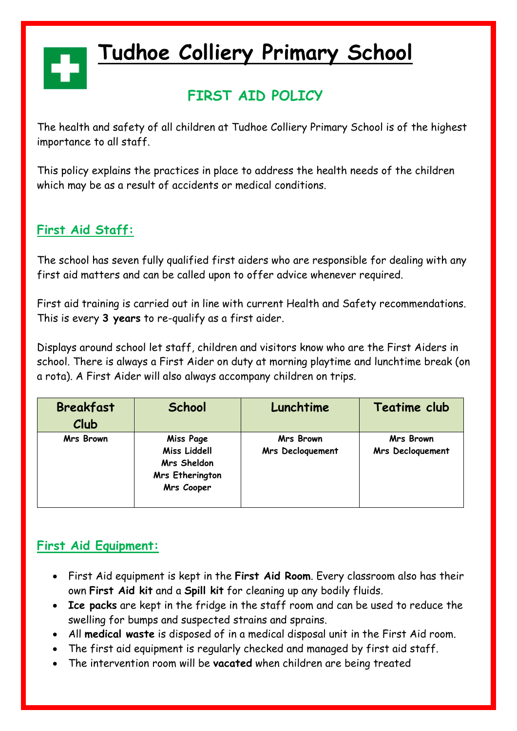# **Tudhoe Colliery Primary School**

### **FIRST AID POLICY**

The health and safety of all children at Tudhoe Colliery Primary School is of the highest importance to all staff.

This policy explains the practices in place to address the health needs of the children which may be as a result of accidents or medical conditions.

### **First Aid Staff:**

The school has seven fully qualified first aiders who are responsible for dealing with any first aid matters and can be called upon to offer advice whenever required.

First aid training is carried out in line with current Health and Safety recommendations. This is every **3 years** to re-qualify as a first aider.

Displays around school let staff, children and visitors know who are the First Aiders in school. There is always a First Aider on duty at morning playtime and lunchtime break (on a rota). A First Aider will also always accompany children on trips.

| <b>Breakfast</b><br>Club | School                                                                           | Lunchtime                                   | Teatime club                  |
|--------------------------|----------------------------------------------------------------------------------|---------------------------------------------|-------------------------------|
| Mrs Brown                | Miss Page<br><b>Miss Liddell</b><br>Mrs Sheldon<br>Mrs Etherington<br>Mrs Cooper | <b>Mrs Brown</b><br><b>Mrs Decloquement</b> | Mrs Brown<br>Mrs Decloquement |

#### **First Aid Equipment:**

- First Aid equipment is kept in the **First Aid Room**. Every classroom also has their own **First Aid kit** and a **Spill kit** for cleaning up any bodily fluids.
- **Ice packs** are kept in the fridge in the staff room and can be used to reduce the swelling for bumps and suspected strains and sprains.
- All **medical waste** is disposed of in a medical disposal unit in the First Aid room.
- The first aid equipment is regularly checked and managed by first aid staff.
- The intervention room will be **vacated** when children are being treated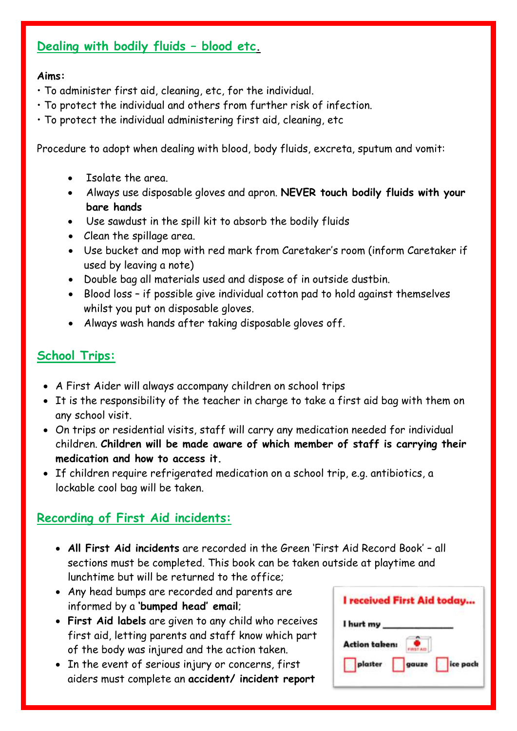#### **Dealing with bodily fluids – blood etc.**

#### **Aims:**

- To administer first aid, cleaning, etc, for the individual.
- To protect the individual and others from further risk of infection.
- To protect the individual administering first aid, cleaning, etc

Procedure to adopt when dealing with blood, body fluids, excreta, sputum and vomit:

- Isolate the area.
- Always use disposable gloves and apron. **NEVER touch bodily fluids with your bare hands**
- Use sawdust in the spill kit to absorb the bodily fluids
- Clean the spillage area.
- Use bucket and mop with red mark from Caretaker's room (inform Caretaker if used by leaving a note)
- Double bag all materials used and dispose of in outside dustbin.
- Blood loss if possible give individual cotton pad to hold against themselves whilst you put on disposable gloves.
- Always wash hands after taking disposable gloves off.

#### **School Trips:**

- A First Aider will always accompany children on school trips
- It is the responsibility of the teacher in charge to take a first aid bag with them on any school visit.
- On trips or residential visits, staff will carry any medication needed for individual children. **Children will be made aware of which member of staff is carrying their medication and how to access it.**
- If children require refrigerated medication on a school trip, e.g. antibiotics, a lockable cool bag will be taken.

#### **Recording of First Aid incidents:**

- **All First Aid incidents** are recorded in the Green 'First Aid Record Book' all sections must be completed. This book can be taken outside at playtime and lunchtime but will be returned to the office;
- Any head bumps are recorded and parents are informed by a **'bumped head' email**;
- **First Aid labels** are given to any child who receives first aid, letting parents and staff know which part of the body was injured and the action taken.
- In the event of serious injury or concerns, first aiders must complete an **accident/ incident report**

|               | I received First Aid today |
|---------------|----------------------------|
| I hurt my     |                            |
| Action taken: |                            |
| plaster       | ice pack<br>gauze          |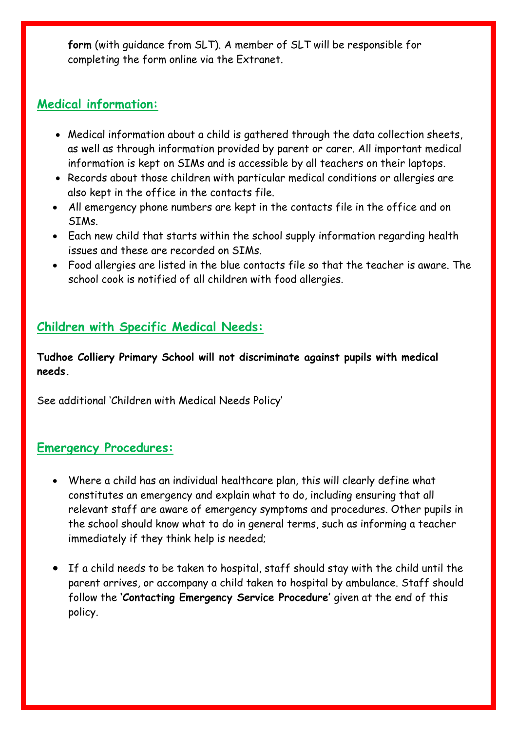**form** (with guidance from SLT). A member of SLT will be responsible for completing the form online via the Extranet.

#### **Medical information:**

- Medical information about a child is gathered through the data collection sheets, as well as through information provided by parent or carer. All important medical information is kept on SIMs and is accessible by all teachers on their laptops.
- Records about those children with particular medical conditions or allergies are also kept in the office in the contacts file.
- All emergency phone numbers are kept in the contacts file in the office and on SIMs.
- Each new child that starts within the school supply information regarding health issues and these are recorded on SIMs.
- Food allergies are listed in the blue contacts file so that the teacher is aware. The school cook is notified of all children with food allergies.

#### **Children with Specific Medical Needs:**

**Tudhoe Colliery Primary School will not discriminate against pupils with medical needs.**

See additional 'Children with Medical Needs Policy'

#### **Emergency Procedures:**

- Where a child has an individual healthcare plan, this will clearly define what constitutes an emergency and explain what to do, including ensuring that all relevant staff are aware of emergency symptoms and procedures. Other pupils in the school should know what to do in general terms, such as informing a teacher immediately if they think help is needed;
- If a child needs to be taken to hospital, staff should stay with the child until the parent arrives, or accompany a child taken to hospital by ambulance. Staff should follow the **'Contacting Emergency Service Procedure'** given at the end of this policy.